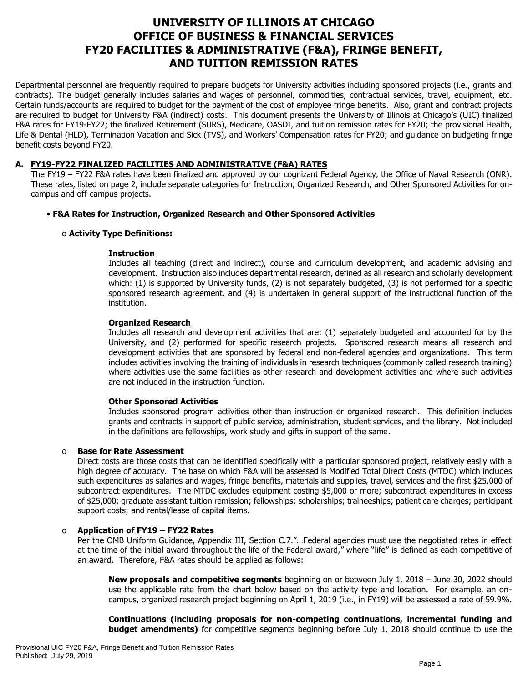# **UNIVERSITY OF ILLINOIS AT CHICAGO OFFICE OF BUSINESS & FINANCIAL SERVICES FY20 FACILITIES & ADMINISTRATIVE (F&A), FRINGE BENEFIT, AND TUITION REMISSION RATES**

Departmental personnel are frequently required to prepare budgets for University activities including sponsored projects (i.e., grants and contracts). The budget generally includes salaries and wages of personnel, commodities, contractual services, travel, equipment, etc. Certain funds/accounts are required to budget for the payment of the cost of employee fringe benefits. Also, grant and contract projects are required to budget for University F&A (indirect) costs. This document presents the University of Illinois at Chicago's (UIC) finalized F&A rates for FY19-FY22; the finalized Retirement (SURS), Medicare, OASDI, and tuition remission rates for FY20; the provisional Health, Life & Dental (HLD), Termination Vacation and Sick (TVS), and Workers' Compensation rates for FY20; and guidance on budgeting fringe benefit costs beyond FY20.

# **A. FY19-FY22 FINALIZED FACILITIES AND ADMINISTRATIVE (F&A) RATES**

The FY19 – FY22 F&A rates have been finalized and approved by our cognizant Federal Agency, the Office of Naval Research (ONR). These rates, listed on page 2, include separate categories for Instruction, Organized Research, and Other Sponsored Activities for oncampus and off-campus projects.

# • **F&A Rates for Instruction, Organized Research and Other Sponsored Activities**

# o **Activity Type Definitions:**

#### **Instruction**

Includes all teaching (direct and indirect), course and curriculum development, and academic advising and development. Instruction also includes departmental research, defined as all research and scholarly development which: (1) is supported by University funds, (2) is not separately budgeted, (3) is not performed for a specific sponsored research agreement, and (4) is undertaken in general support of the instructional function of the institution.

#### **Organized Research**

Includes all research and development activities that are: (1) separately budgeted and accounted for by the University, and (2) performed for specific research projects. Sponsored research means all research and development activities that are sponsored by federal and non-federal agencies and organizations. This term includes activities involving the training of individuals in research techniques (commonly called research training) where activities use the same facilities as other research and development activities and where such activities are not included in the instruction function.

#### **Other Sponsored Activities**

Includes sponsored program activities other than instruction or organized research. This definition includes grants and contracts in support of public service, administration, student services, and the library. Not included in the definitions are fellowships, work study and gifts in support of the same.

# o **Base for Rate Assessment**

Direct costs are those costs that can be identified specifically with a particular sponsored project, relatively easily with a high degree of accuracy. The base on which F&A will be assessed is Modified Total Direct Costs (MTDC) which includes such expenditures as salaries and wages, fringe benefits, materials and supplies, travel, services and the first \$25,000 of subcontract expenditures. The MTDC excludes equipment costing \$5,000 or more; subcontract expenditures in excess of \$25,000; graduate assistant tuition remission; fellowships; scholarships; traineeships; patient care charges; participant support costs; and rental/lease of capital items.

# o **Application of FY19 – FY22 Rates**

Per the OMB Uniform Guidance, Appendix III, Section C.7."...Federal agencies must use the negotiated rates in effect at the time of the initial award throughout the life of the Federal award," where "life" is defined as each competitive of an award. Therefore, F&A rates should be applied as follows:

**New proposals and competitive segments** beginning on or between July 1, 2018 – June 30, 2022 should use the applicable rate from the chart below based on the activity type and location. For example, an oncampus, organized research project beginning on April 1, 2019 (i.e., in FY19) will be assessed a rate of 59.9%.

**Continuations (including proposals for non-competing continuations, incremental funding and budget amendments)** for competitive segments beginning before July 1, 2018 should continue to use the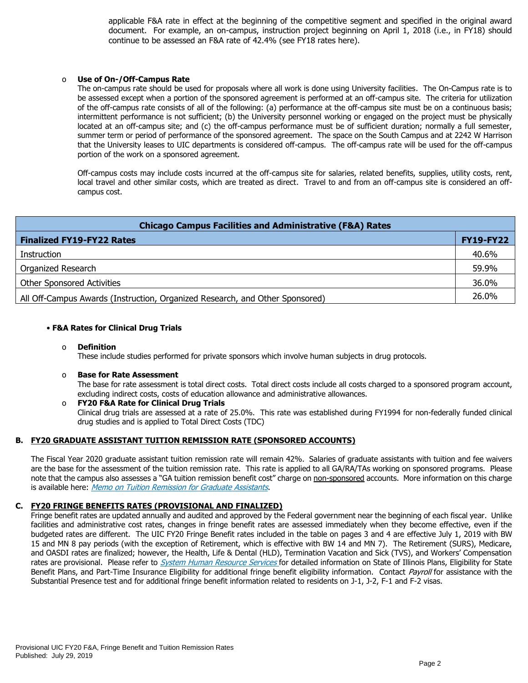applicable F&A rate in effect at the beginning of the competitive segment and specified in the original award document. For example, an on-campus, instruction project beginning on April 1, 2018 (i.e., in FY18) should continue to be assessed an F&A rate of 42.4% (see FY18 rates here).

#### Use of On-/Off-Campus Rate

The on-campus rate should be used for proposals where all work is done using University facilities. The On-Campus rate is to be assessed except when a portion of the sponsored agreement is performed at an off-campus site. The criteria for utilization of the off-campus rate consists of all of the following: (a) performance at the off-campus site must be on a continuous basis; intermittent performance is not sufficient; (b) the University personnel working or engaged on the project must be physically located at an off-campus site; and (c) the off-campus performance must be of sufficient duration; normally a full semester, summer term or period of performance of the sponsored agreement. The space on the South Campus and at 2242 W Harrison that the University leases to UIC departments is considered off-campus. The off-campus rate will be used for the off-campus portion of the work on a sponsored agreement.

Off-campus costs may include costs incurred at the off-campus site for salaries, related benefits, supplies, utility costs, rent, local travel and other similar costs, which are treated as direct. Travel to and from an off-campus site is considered an offcampus cost.

| <b>Chicago Campus Facilities and Administrative (F&amp;A) Rates</b>          |                  |  |  |  |  |
|------------------------------------------------------------------------------|------------------|--|--|--|--|
| <b>Finalized FY19-FY22 Rates</b>                                             | <b>FY19-FY22</b> |  |  |  |  |
| Instruction                                                                  | 40.6%            |  |  |  |  |
| Organized Research                                                           | 59.9%            |  |  |  |  |
| <b>Other Sponsored Activities</b>                                            | 36.0%            |  |  |  |  |
| All Off-Campus Awards (Instruction, Organized Research, and Other Sponsored) | 26.0%            |  |  |  |  |

#### • **F&A Rates for Clinical Drug Trials**

#### o **Definition**

These include studies performed for private sponsors which involve human subjects in drug protocols.

#### o **Base for Rate Assessment**

The base for rate assessment is total direct costs. Total direct costs include all costs charged to a sponsored program account, excluding indirect costs, costs of education allowance and administrative allowances.

#### o **FY20 F&A Rate for Clinical Drug Trials** Clinical drug trials are assessed at a rate of 25.0%. This rate was established during FY1994 for non-federally funded clinical drug studies and is applied to Total Direct Costs (TDC)

# **B. FY20 GRADUATE ASSISTANT TUITION REMISSION RATE (SPONSORED ACCOUNTS)**

The Fiscal Year 2020 graduate assistant tuition remission rate will remain 42%.Salaries of graduate assistants with tuition and fee waivers are the base for the assessment of the tuition remission rate. This rate is applied to all GA/RA/TAs working on sponsored programs. Please note that the campus also assesses a "GA tuition remission benefit cost" charge on non-sponsored accounts. More information on this charge is available here: [Memo on Tuition Remission for Graduate Assistants](https://www.obfs.uillinois.edu/common/pages/DisplayFile.aspx?itemId=436386).

# **C. FY20 FRINGE BENEFITS RATES (PROVISIONAL AND FINALIZED)**

Fringe benefit rates are updated annually and audited and approved by the Federal government near the beginning of each fiscal year. Unlike facilities and administrative cost rates, changes in fringe benefit rates are assessed immediately when they become effective, even if the budgeted rates are different. The UIC FY20 Fringe Benefit rates included in the table on pages 3 and 4 are effective July 1, 2019 with BW 15 and MN 8 pay periods (with the exception of Retirement, which is effective with BW 14 and MN 7). The Retirement (SURS), Medicare, and OASDI rates are finalized; however, the Health, Life & Dental (HLD), Termination Vacation and Sick (TVS), and Workers' Compensation rates are provisional. Please refer to *[System Human Resource Services](https://www.hr.uillinois.edu/benefits/)* for detailed information on State of Illinois Plans, Eligibility for State Benefit Plans, and Part-Time Insurance Eligibility for additional fringe benefit eligibility information. Contact [Payroll](https://www.obfs.uillinois.edu/payroll/customer-service/) for assistance with the Substantial Presence test and for additional fringe benefit information related to residents on J-1, J-2, F-1 and F-2 visas.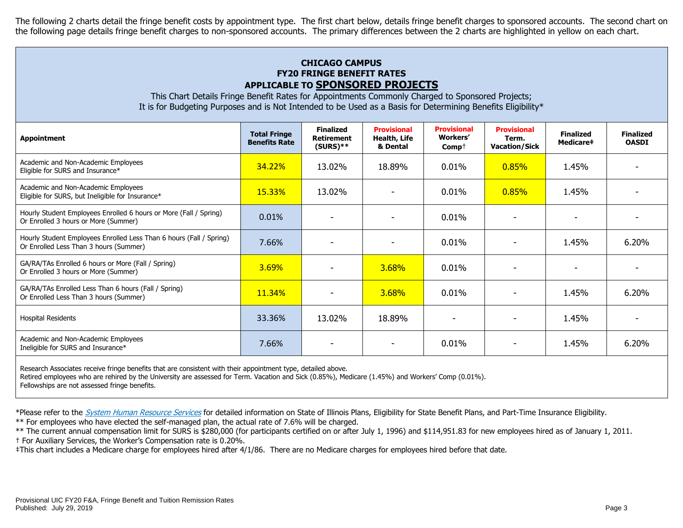The following 2 charts detail the fringe benefit costs by appointment type. The first chart below, details fringe benefit charges to sponsored accounts. The second chart on the following page details fringe benefit charges to non-sponsored accounts. The primary differences between the 2 charts are highlighted in yellow on each chart.

# **CHICAGO CAMPUS FY20 FRINGE BENEFIT RATES APPLICABLE TO SPONSORED PROJECTS**

This Chart Details Fringe Benefit Rates for Appointments Commonly Charged to Sponsored Projects; It is for Budgeting Purposes and is Not Intended to be Used as a Basis for Determining Benefits Eligibility\*

| <b>Appointment</b>                                                                                            | <b>Total Fringe</b><br><b>Benefits Rate</b> | <b>Finalized</b><br><b>Retirement</b><br>$(SURS)**$ | <b>Provisional</b><br>Health, Life<br>& Dental | <b>Provisional</b><br><b>Workers'</b><br>$Comp+$ | <b>Provisional</b><br>Term.<br><b>Vacation/Sick</b> | <b>Finalized</b><br>Medicare# | <b>Finalized</b><br><b>OASDI</b> |
|---------------------------------------------------------------------------------------------------------------|---------------------------------------------|-----------------------------------------------------|------------------------------------------------|--------------------------------------------------|-----------------------------------------------------|-------------------------------|----------------------------------|
| Academic and Non-Academic Employees<br>Eligible for SURS and Insurance*                                       | 34.22%                                      | 13.02%                                              | 18.89%                                         | 0.01%                                            | 0.85%                                               | 1.45%                         |                                  |
| Academic and Non-Academic Employees<br>Eligible for SURS, but Ineligible for Insurance*                       | 15.33%                                      | 13.02%                                              |                                                | 0.01%                                            | 0.85%                                               | 1.45%                         |                                  |
| Hourly Student Employees Enrolled 6 hours or More (Fall / Spring)<br>Or Enrolled 3 hours or More (Summer)     | 0.01%                                       |                                                     |                                                | 0.01%                                            |                                                     |                               |                                  |
| Hourly Student Employees Enrolled Less Than 6 hours (Fall / Spring)<br>Or Enrolled Less Than 3 hours (Summer) | 7.66%                                       |                                                     |                                                | 0.01%                                            |                                                     | 1.45%                         | 6.20%                            |
| GA/RA/TAs Enrolled 6 hours or More (Fall / Spring)<br>Or Enrolled 3 hours or More (Summer)                    | 3.69%                                       |                                                     | 3.68%                                          | 0.01%                                            |                                                     |                               |                                  |
| GA/RA/TAs Enrolled Less Than 6 hours (Fall / Spring)<br>Or Enrolled Less Than 3 hours (Summer)                | <b>11.34%</b>                               |                                                     | 3.68%                                          | 0.01%                                            |                                                     | 1.45%                         | 6.20%                            |
| <b>Hospital Residents</b>                                                                                     | 33.36%                                      | 13.02%                                              | 18.89%                                         |                                                  |                                                     | 1.45%                         |                                  |
| Academic and Non-Academic Employees<br>Ineligible for SURS and Insurance*                                     | 7.66%                                       |                                                     |                                                | 0.01%                                            |                                                     | 1.45%                         | 6.20%                            |
|                                                                                                               |                                             |                                                     |                                                |                                                  |                                                     |                               |                                  |

Research Associates receive fringe benefits that are consistent with their appointment type, detailed above.

Retired employees who are rehired by the University are assessed for Term. Vacation and Sick (0.85%), Medicare (1.45%) and Workers' Comp (0.01%).

Fellowships are not assessed fringe benefits.

\*Please refer to the [System Human Resource Services](https://www.hr.uillinois.edu/benefits/) for detailed information on State of Illinois Plans, Eligibility for State Benefit Plans, and Part-Time Insurance Eligibility.

\*\* For employees who have elected the self-managed plan, the actual rate of 7.6% will be charged.

\*\* The current annual compensation limit for SURS is \$280,000 (for participants certified on or after July 1, 1996) and \$114,951.83 for new employees hired as of January 1, 2011. † For Auxiliary Services, the Worker's Compensation rate is 0.20%.

‡This chart includes a Medicare charge for employees hired after 4/1/86. There are no Medicare charges for employees hired before that date.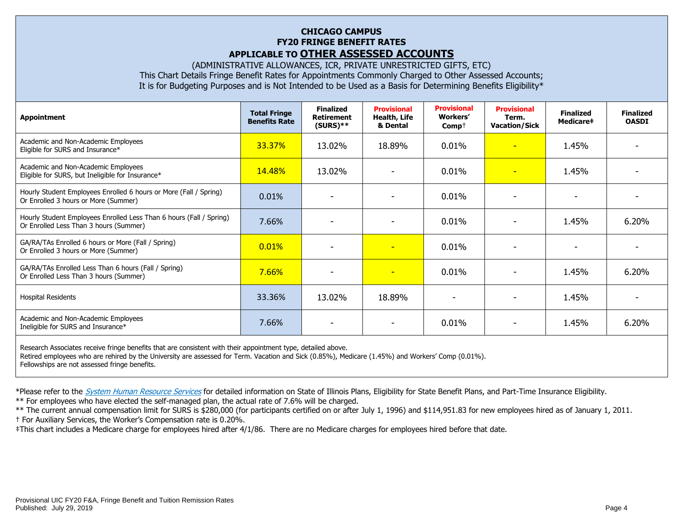# **CHICAGO CAMPUS FY20 FRINGE BENEFIT RATES APPLICABLE TO OTHER ASSESSED ACCOUNTS**

(ADMINISTRATIVE ALLOWANCES, ICR, PRIVATE UNRESTRICTED GIFTS, ETC) This Chart Details Fringe Benefit Rates for Appointments Commonly Charged to Other Assessed Accounts; It is for Budgeting Purposes and is Not Intended to be Used as a Basis for Determining Benefits Eligibility\*

| <b>Appointment</b>                                                                                                                                                                                                             | <b>Total Fringe</b><br><b>Benefits Rate</b> | <b>Finalized</b><br><b>Retirement</b><br>$(SURS)**$ | <b>Provisional</b><br><b>Health, Life</b><br>& Dental | <b>Provisional</b><br>Workers'<br>$Comp+$ | <b>Provisional</b><br>Term.<br><b>Vacation/Sick</b> | <b>Finalized</b><br><b>Medicare‡</b> | <b>Finalized</b><br><b>OASDI</b> |
|--------------------------------------------------------------------------------------------------------------------------------------------------------------------------------------------------------------------------------|---------------------------------------------|-----------------------------------------------------|-------------------------------------------------------|-------------------------------------------|-----------------------------------------------------|--------------------------------------|----------------------------------|
| Academic and Non-Academic Employees<br>Eligible for SURS and Insurance*                                                                                                                                                        | 33.37%                                      | 13.02%                                              | 18.89%                                                | 0.01%                                     | $\overline{\phantom{0}}$                            | 1.45%                                |                                  |
| Academic and Non-Academic Employees<br>Eligible for SURS, but Ineligible for Insurance*                                                                                                                                        | <b>14.48%</b>                               | 13.02%                                              |                                                       | 0.01%                                     | $\equiv$                                            | 1.45%                                |                                  |
| Hourly Student Employees Enrolled 6 hours or More (Fall / Spring)<br>Or Enrolled 3 hours or More (Summer)                                                                                                                      | 0.01%                                       |                                                     |                                                       | 0.01%                                     | $\overline{\phantom{0}}$                            |                                      |                                  |
| Hourly Student Employees Enrolled Less Than 6 hours (Fall / Spring)<br>Or Enrolled Less Than 3 hours (Summer)                                                                                                                  | 7.66%                                       |                                                     |                                                       | 0.01%                                     |                                                     | 1.45%                                | 6.20%                            |
| GA/RA/TAs Enrolled 6 hours or More (Fall / Spring)<br>Or Enrolled 3 hours or More (Summer)                                                                                                                                     | 0.01%                                       |                                                     | $\overline{\phantom{0}}$                              | 0.01%                                     |                                                     |                                      |                                  |
| GA/RA/TAs Enrolled Less Than 6 hours (Fall / Spring)<br>Or Enrolled Less Than 3 hours (Summer)                                                                                                                                 | 7.66%                                       | ٠                                                   | ٠                                                     | 0.01%                                     | ۰                                                   | 1.45%                                | 6.20%                            |
| <b>Hospital Residents</b>                                                                                                                                                                                                      | 33.36%                                      | 13.02%                                              | 18.89%                                                |                                           |                                                     | 1.45%                                |                                  |
| Academic and Non-Academic Employees<br>Ineligible for SURS and Insurance*                                                                                                                                                      | 7.66%                                       |                                                     |                                                       | 0.01%                                     |                                                     | 1.45%                                | 6.20%                            |
| the second contract of the second contract of the second contract of the second contract of the second contract of the second contract of the second contract of the second contract of the second contract of the second cont |                                             |                                                     |                                                       |                                           |                                                     |                                      |                                  |

Research Associates receive fringe benefits that are consistent with their appointment type, detailed above. Retired employees who are rehired by the University are assessed for Term. Vacation and Sick (0.85%), Medicare (1.45%) and Workers' Comp (0.01%). Fellowships are not assessed fringe benefits.

\*Please refer to the [System Human Resource Services](https://www.hr.uillinois.edu/benefits/) for detailed information on State of Illinois Plans, Eligibility for State Benefit Plans, and Part-Time Insurance Eligibility.

\*\* For employees who have elected the self-managed plan, the actual rate of 7.6% will be charged.

\*\* The current annual compensation limit for SURS is \$280,000 (for participants certified on or after July 1, 1996) and \$114,951.83 for new employees hired as of January 1, 2011.

† For Auxiliary Services, the Worker's Compensation rate is 0.20%.

‡This chart includes a Medicare charge for employees hired after 4/1/86. There are no Medicare charges for employees hired before that date.